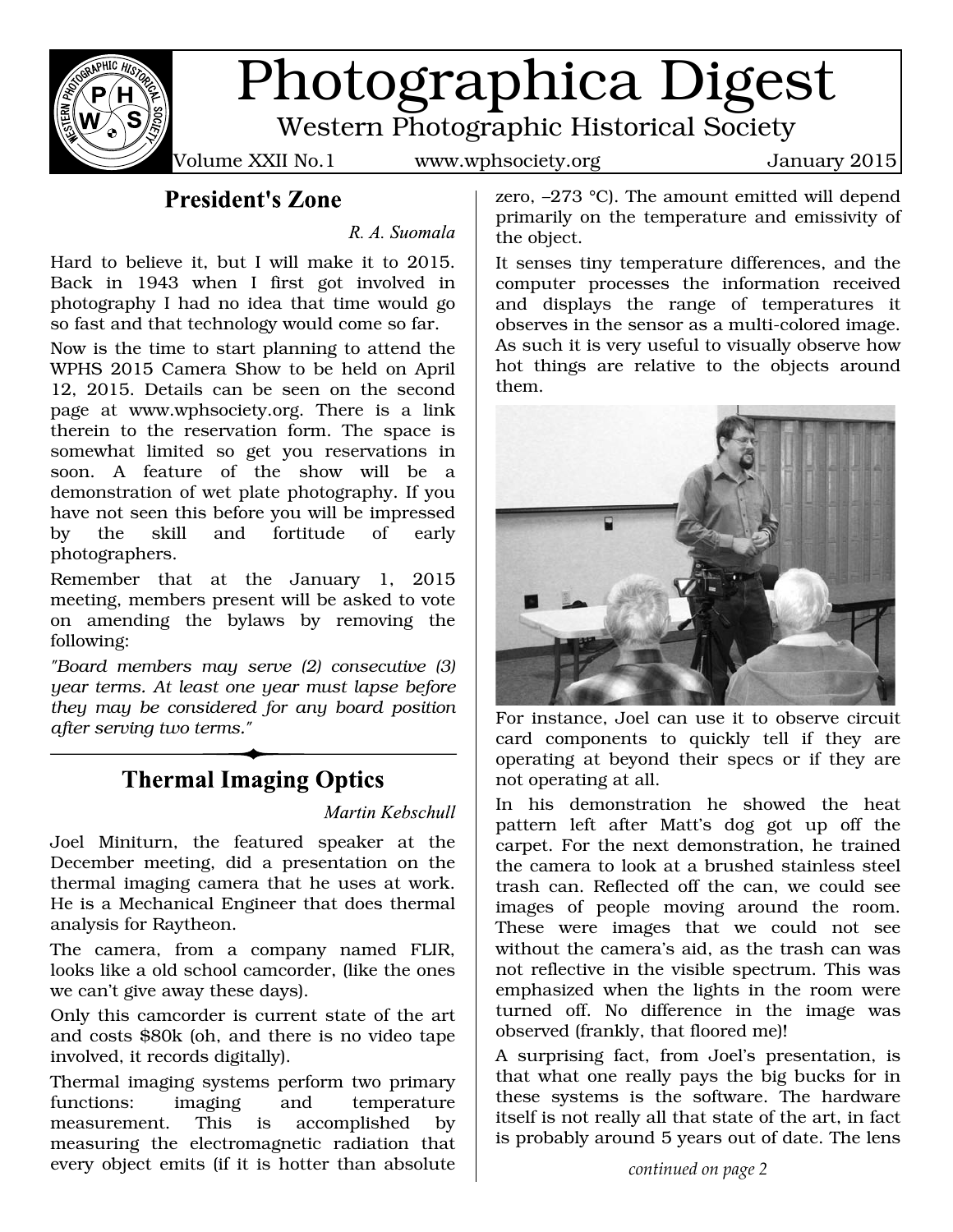

# Photographica Digest

Western Photographic Historical Society

Volume XXII No.1 www.wphsociety.org January 2015

**President's Zone** 

R. A. Suomala

Hard to believe it, but I will make it to 2015. Back in 1943 when I first got involved in photography I had no idea that time would go so fast and that technology would come so far.

Now is the time to start planning to attend the WPHS 2015 Camera Show to be held on April 12, 2015. Details can be seen on the second page at www.wphsociety.org. There is a link therein to the reservation form. The space is somewhat limited so get you reservations in soon. A feature of the show will be a demonstration of wet plate photography. If you have not seen this before you will be impressed by the skill and fortitude of early photographers.

Remember that at the January 1, 2015 meeting, members present will be asked to vote on amending the bylaws by removing the following:

*"Board members may serve (2) consecutive (3) year terms. At least one year must lapse before they may be considered for any board position after serving two terms."*

# **Thermal Imaging Optics**

Martin Kebschull

Joel Miniturn, the featured speaker at the December meeting, did a presentation on the thermal imaging camera that he uses at work. He is a Mechanical Engineer that does thermal analysis for Raytheon.

The camera, from a company named FLIR, looks like a old school camcorder, (like the ones we can't give away these days).

Only this camcorder is current state of the art and costs \$80k (oh, and there is no video tape involved, it records digitally).

Thermal imaging systems perform two primary functions: imaging and temperature measurement. This is accomplished by measuring the electromagnetic radiation that every object emits (if it is hotter than absolute

zero, –273 °C). The amount emitted will depend primarily on the temperature and emissivity of the object.

It senses tiny temperature differences, and the computer processes the information received and displays the range of temperatures it observes in the sensor as a multi-colored image. As such it is very useful to visually observe how hot things are relative to the objects around them.



For instance, Joel can use it to observe circuit card components to quickly tell if they are operating at beyond their specs or if they are not operating at all.

In his demonstration he showed the heat pattern left after Matt's dog got up off the carpet. For the next demonstration, he trained the camera to look at a brushed stainless steel trash can. Reflected off the can, we could see images of people moving around the room. These were images that we could not see without the camera's aid, as the trash can was not reflective in the visible spectrum. This was emphasized when the lights in the room were turned off. No difference in the image was observed (frankly, that floored me)!

A surprising fact, from Joel's presentation, is that what one really pays the big bucks for in these systems is the software. The hardware itself is not really all that state of the art, in fact is probably around 5 years out of date. The lens

*continued on page 2*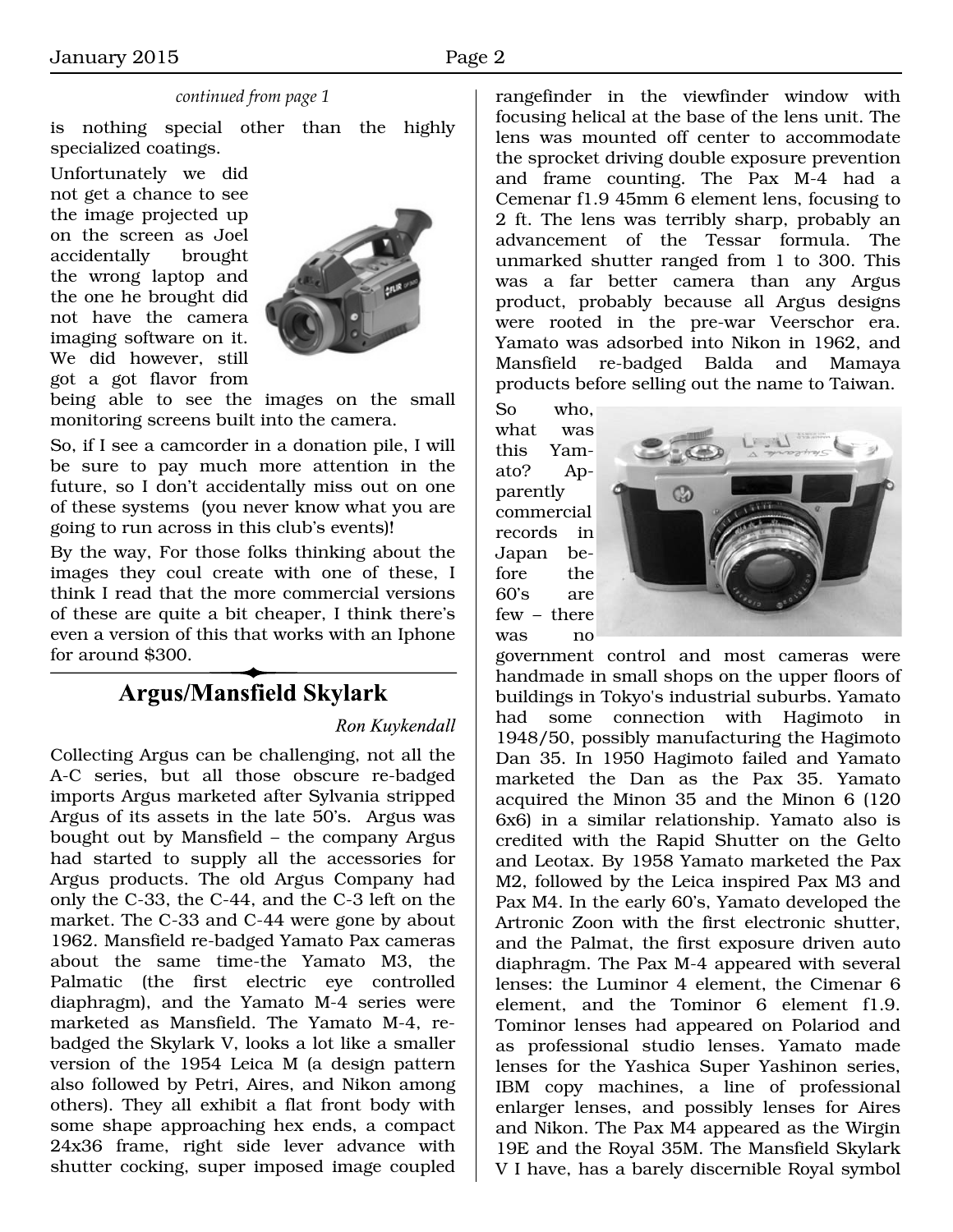#### *continued from page 1*

is nothing special other than the highly specialized coatings.

Unfortunately we did not get a chance to see the image projected up on the screen as Joel accidentally brought the wrong laptop and the one he brought did not have the camera imaging software on it. We did however, still got a got flavor from



being able to see the images on the small monitoring screens built into the camera.

So, if I see a camcorder in a donation pile, I will be sure to pay much more attention in the future, so I don't accidentally miss out on one of these systems (you never know what you are going to run across in this club's events)!

By the way, For those folks thinking about the images they coul create with one of these, I think I read that the more commercial versions of these are quite a bit cheaper, I think there's even a version of this that works with an Iphone for around \$300.

## **Argus/Mansfield Skylark**

#### Ron Kuykendall

Collecting Argus can be challenging, not all the A-C series, but all those obscure re-badged imports Argus marketed after Sylvania stripped Argus of its assets in the late 50's. Argus was bought out by Mansfield – the company Argus had started to supply all the accessories for Argus products. The old Argus Company had only the C-33, the C-44, and the C-3 left on the market. The C-33 and C-44 were gone by about 1962. Mansfield re-badged Yamato Pax cameras about the same time-the Yamato M3, the Palmatic (the first electric eye controlled diaphragm), and the Yamato M-4 series were marketed as Mansfield. The Yamato M-4, rebadged the Skylark V, looks a lot like a smaller version of the 1954 Leica M (a design pattern also followed by Petri, Aires, and Nikon among others). They all exhibit a flat front body with some shape approaching hex ends, a compact 24x36 frame, right side lever advance with shutter cocking, super imposed image coupled

rangefinder in the viewfinder window with focusing helical at the base of the lens unit. The lens was mounted off center to accommodate the sprocket driving double exposure prevention and frame counting. The Pax M-4 had a Cemenar f1.9 45mm 6 element lens, focusing to 2 ft. The lens was terribly sharp, probably an advancement of the Tessar formula. The unmarked shutter ranged from 1 to 300. This was a far better camera than any Argus product, probably because all Argus designs were rooted in the pre-war Veerschor era. Yamato was adsorbed into Nikon in 1962, and Mansfield re-badged Balda and Mamaya products before selling out the name to Taiwan.

So who, what was this Yamato? Apparently commercial records in Japan before the 60's are few – there was no



government control and most cameras were handmade in small shops on the upper floors of buildings in Tokyo's industrial suburbs. Yamato had some connection with Hagimoto in 1948/50, possibly manufacturing the Hagimoto Dan 35. In 1950 Hagimoto failed and Yamato marketed the Dan as the Pax 35. Yamato acquired the Minon 35 and the Minon 6 (120 6x6) in a similar relationship. Yamato also is credited with the Rapid Shutter on the Gelto and Leotax. By 1958 Yamato marketed the Pax M2, followed by the Leica inspired Pax M3 and Pax M4. In the early 60's, Yamato developed the Artronic Zoon with the first electronic shutter, and the Palmat, the first exposure driven auto diaphragm. The Pax M-4 appeared with several lenses: the Luminor 4 element, the Cimenar 6 element, and the Tominor 6 element f1.9. Tominor lenses had appeared on Polariod and as professional studio lenses. Yamato made lenses for the Yashica Super Yashinon series, IBM copy machines, a line of professional enlarger lenses, and possibly lenses for Aires and Nikon. The Pax M4 appeared as the Wirgin 19E and the Royal 35M. The Mansfield Skylark V I have, has a barely discernible Royal symbol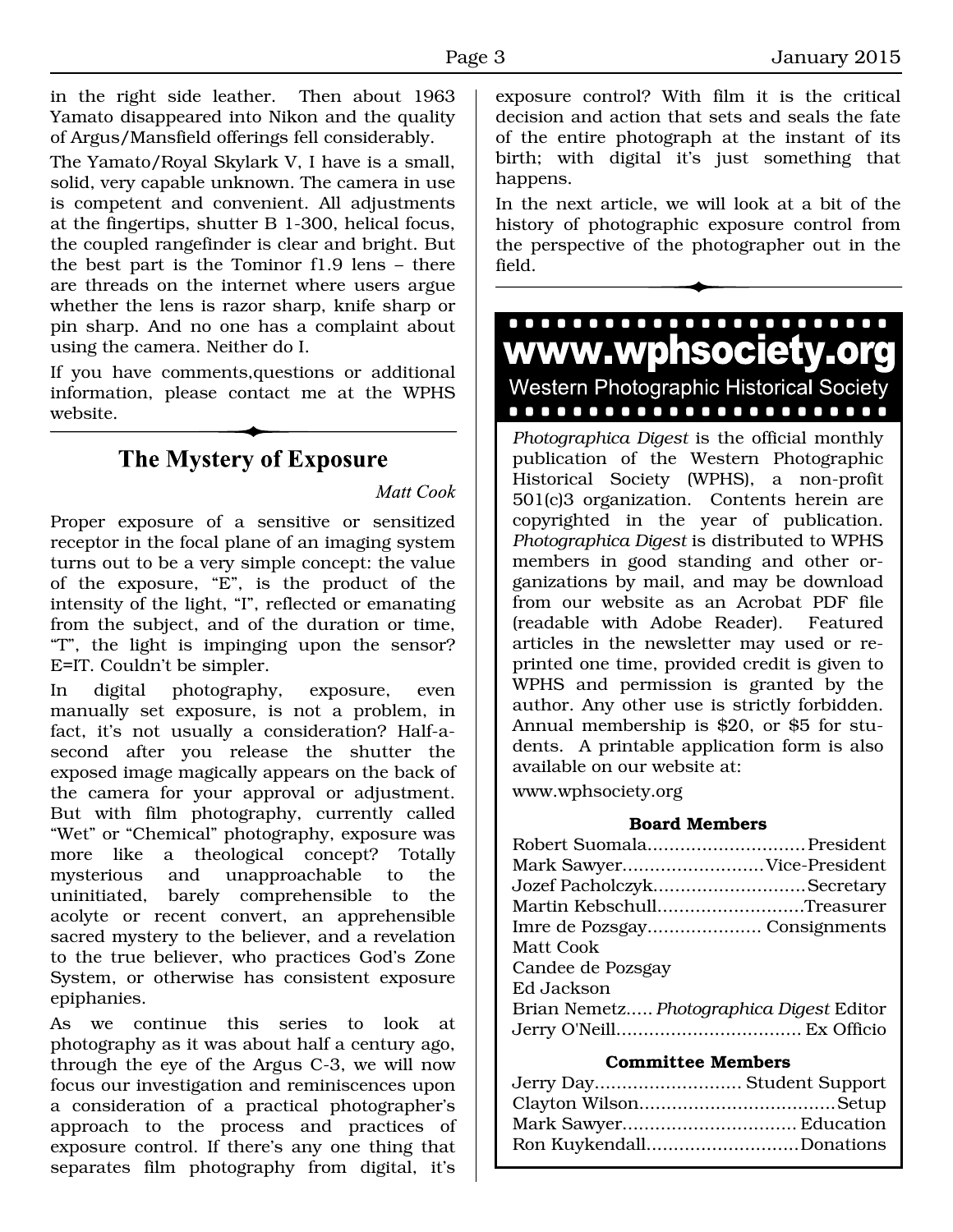in the right side leather. Then about 1963 Yamato disappeared into Nikon and the quality of Argus/Mansfield offerings fell considerably.

The Yamato/Royal Skylark V, I have is a small, solid, very capable unknown. The camera in use is competent and convenient. All adjustments at the fingertips, shutter B 1-300, helical focus, the coupled rangefinder is clear and bright. But the best part is the Tominor f1.9 lens – there are threads on the internet where users argue whether the lens is razor sharp, knife sharp or pin sharp. And no one has a complaint about using the camera. Neither do I.

If you have comments,questions or additional information, please contact me at the WPHS website.

# The Mystery of Exposure

Matt Cook

Proper exposure of a sensitive or sensitized receptor in the focal plane of an imaging system turns out to be a very simple concept: the value of the exposure, "E", is the product of the intensity of the light, "I", reflected or emanating from the subject, and of the duration or time, "T", the light is impinging upon the sensor? E=IT. Couldn't be simpler.

In digital photography, exposure, even manually set exposure, is not a problem, in fact, it's not usually a consideration? Half-asecond after you release the shutter the exposed image magically appears on the back of the camera for your approval or adjustment. But with film photography, currently called "Wet" or "Chemical" photography, exposure was more like a theological concept? Totally mysterious and unapproachable to the uninitiated, barely comprehensible to the acolyte or recent convert, an apprehensible sacred mystery to the believer, and a revelation to the true believer, who practices God's Zone System, or otherwise has consistent exposure epiphanies.

As we continue this series to look at photography as it was about half a century ago, through the eye of the Argus C-3, we will now focus our investigation and reminiscences upon a consideration of a practical photographer's approach to the process and practices of exposure control. If there's any one thing that separates film photography from digital, it's

exposure control? With film it is the critical decision and action that sets and seals the fate of the entire photograph at the instant of its birth; with digital it's just something that happens.

In the next article, we will look at a bit of the history of photographic exposure control from the perspective of the photographer out in the field.



*Photographica Digest* is the official monthly publication of the Western Photographic Historical Society (WPHS), a non-profit 501(c)3 organization. Contents herein are copyrighted in the year of publication. *Photographica Digest* is distributed to WPHS members in good standing and other organizations by mail, and may be download from our website as an Acrobat PDF file (readable with Adobe Reader). Featured articles in the newsletter may used or reprinted one time, provided credit is given to WPHS and permission is granted by the author. Any other use is strictly forbidden. Annual membership is \$20, or \$5 for students. A printable application form is also available on our website at:

www.wphsociety.org

#### **Board Members**

| Mark SawyerVice-President                |
|------------------------------------------|
|                                          |
| Jozef PacholczykSecretary                |
| Martin KebschullTreasurer                |
| Imre de Pozsgay Consignments             |
| Matt Cook                                |
| Candee de Pozsgay                        |
| Ed Jackson                               |
| Brian Nemetz Photographica Digest Editor |
|                                          |

#### **Committee Members**

| Jerry Day Student Support |
|---------------------------|
|                           |
|                           |
| Ron KuykendallDonations   |
|                           |